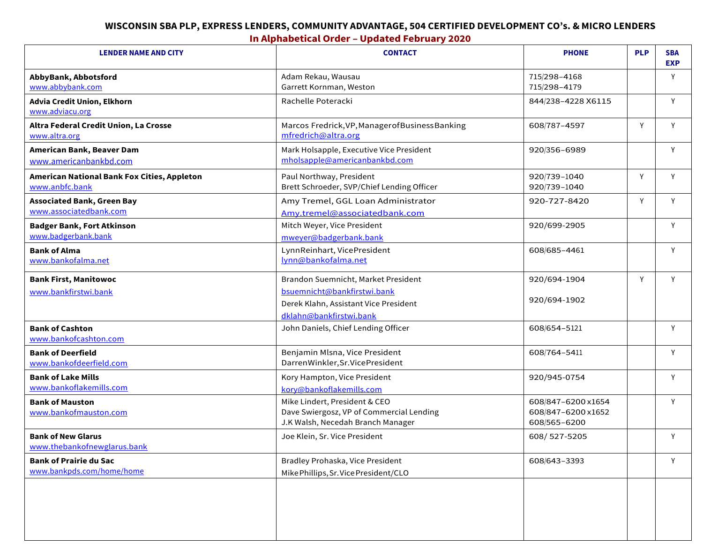## **WISCONSIN SBA PLP, EXPRESS LENDERS, COMMUNITY ADVANTAGE, 504 CERTIFIED DEVELOPMENT CO's. & MICRO LENDERS**

**In Alphabetical Order – Updated February 2020**

| <b>LENDER NAME AND CITY</b>                                          | <b>CONTACT</b>                                                                                                                         | <b>PHONE</b>                                             | <b>PLP</b> | <b>SBA</b><br><b>EXP</b> |
|----------------------------------------------------------------------|----------------------------------------------------------------------------------------------------------------------------------------|----------------------------------------------------------|------------|--------------------------|
| AbbyBank, Abbotsford<br>www.abbybank.com                             | Adam Rekau, Wausau<br>Garrett Kornman, Weston                                                                                          | 715/298-4168<br>715/298-4179                             |            | Y                        |
| Advia Credit Union, Elkhorn<br>www.adviacu.org                       | Rachelle Poteracki                                                                                                                     | 844/238-4228 X6115                                       |            | Y                        |
| Altra Federal Credit Union, La Crosse<br>www.altra.org               | Marcos Fredrick, VP, Manager of Business Banking<br>mfredrich@altra.org                                                                | 608/787-4597                                             | Y          | Y                        |
| American Bank, Beaver Dam<br>www.americanbankbd.com                  | Mark Holsapple, Executive Vice President<br>mholsapple@americanbankbd.com                                                              | 920/356-6989                                             |            | Y                        |
| <b>American National Bank Fox Cities, Appleton</b><br>www.anbfc.bank | Paul Northway, President<br>Brett Schroeder, SVP/Chief Lending Officer                                                                 | 920/739-1040<br>920/739-1040                             | Y          | Y                        |
| <b>Associated Bank, Green Bay</b><br>www.associatedbank.com          | Amy Tremel, GGL Loan Administrator<br>Amy.tremel@associatedbank.com                                                                    | 920-727-8420                                             | Y          | Υ                        |
| <b>Badger Bank, Fort Atkinson</b><br>www.badgerbank.bank             | Mitch Weyer, Vice President<br>mweyer@badgerbank.bank                                                                                  | 920/699-2905                                             |            | Y                        |
| <b>Bank of Alma</b><br>www.bankofalma.net                            | LynnReinhart, VicePresident<br>Ivnn@bankofalma.net                                                                                     | 608/685-4461                                             |            | Y                        |
| <b>Bank First, Manitowoc</b><br>www.bankfirstwi.bank                 | Brandon Suemnicht, Market President<br>bsuemnicht@bankfirstwi.bank<br>Derek Klahn, Assistant Vice President<br>dklahn@bankfirstwi.bank | 920/694-1904<br>920/694-1902                             | Y          | Y                        |
| <b>Bank of Cashton</b><br>www.bankofcashton.com                      | John Daniels, Chief Lending Officer                                                                                                    | 608/654-5121                                             |            | Y                        |
| <b>Bank of Deerfield</b><br>www.bankofdeerfield.com                  | Benjamin Mlsna, Vice President<br>DarrenWinkler, Sr. VicePresident                                                                     | 608/764-5411                                             |            | Y                        |
| <b>Bank of Lake Mills</b><br>www.bankoflakemills.com                 | Kory Hampton, Vice President<br>kory@bankoflakemills.com                                                                               | 920/945-0754                                             |            | Y                        |
| <b>Bank of Mauston</b><br>www.bankofmauston.com                      | Mike Lindert, President & CEO<br>Dave Swiergosz, VP of Commercial Lending<br>J.K Walsh, Necedah Branch Manager                         | 608/847-6200 x1654<br>608/847-6200 x1652<br>608/565-6200 |            | Y                        |
| <b>Bank of New Glarus</b><br>www.thebankofnewglarus.bank             | Joe Klein, Sr. Vice President                                                                                                          | 608/527-5205                                             |            | Y                        |
| <b>Bank of Prairie du Sac</b><br>www.bankpds.com/home/home           | Bradley Prohaska, Vice President<br>Mike Phillips, Sr. Vice President/CLO                                                              | 608/643-3393                                             |            | Y                        |
|                                                                      |                                                                                                                                        |                                                          |            |                          |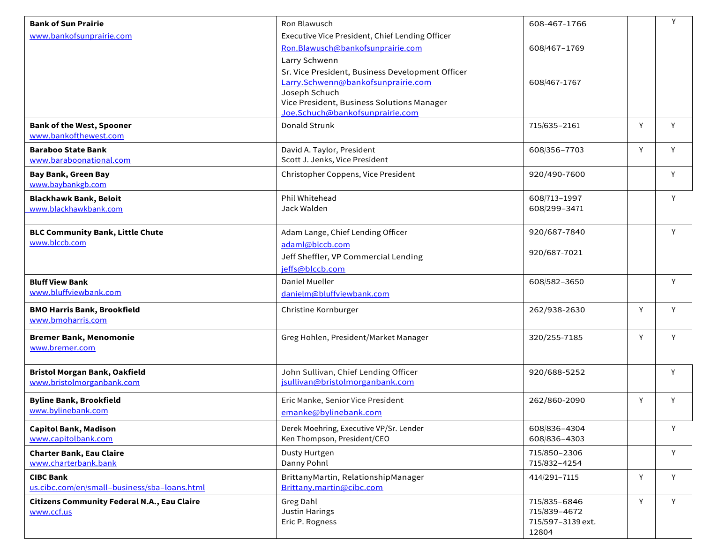| <b>Bank of Sun Prairie</b>                                        | Ron Blawusch                                                                  | 608-467-1766               |   | Y |
|-------------------------------------------------------------------|-------------------------------------------------------------------------------|----------------------------|---|---|
| www.bankofsunprairie.com                                          | Executive Vice President, Chief Lending Officer                               |                            |   |   |
|                                                                   | Ron.Blawusch@bankofsunprairie.com                                             | 608/467-1769               |   |   |
|                                                                   | Larry Schwenn                                                                 |                            |   |   |
|                                                                   | Sr. Vice President, Business Development Officer                              |                            |   |   |
|                                                                   | Larry.Schwenn@bankofsunprairie.com                                            | 608/467-1767               |   |   |
|                                                                   | Joseph Schuch                                                                 |                            |   |   |
|                                                                   | Vice President, Business Solutions Manager<br>Joe.Schuch@bankofsunprairie.com |                            |   |   |
| <b>Bank of the West, Spooner</b>                                  | Donald Strunk                                                                 | 715/635-2161               | Y | Y |
| www.bankofthewest.com                                             |                                                                               |                            |   |   |
| <b>Baraboo State Bank</b>                                         | David A. Taylor, President                                                    | 608/356-7703               | Y | Y |
| www.baraboonational.com                                           | Scott J. Jenks, Vice President                                                |                            |   |   |
| <b>Bay Bank, Green Bay</b>                                        | Christopher Coppens, Vice President                                           | 920/490-7600               |   | Υ |
| www.baybankgb.com                                                 |                                                                               |                            |   |   |
| <b>Blackhawk Bank, Beloit</b>                                     | Phil Whitehead                                                                | 608/713-1997               |   | Y |
| www.blackhawkbank.com                                             | Jack Walden                                                                   | 608/299-3471               |   |   |
|                                                                   |                                                                               |                            |   |   |
| <b>BLC Community Bank, Little Chute</b>                           | Adam Lange, Chief Lending Officer                                             | 920/687-7840               |   | Y |
| www.blccb.com                                                     | adaml@blccb.com                                                               |                            |   |   |
|                                                                   | Jeff Sheffler, VP Commercial Lending                                          | 920/687-7021               |   |   |
|                                                                   | jeffs@blccb.com                                                               |                            |   |   |
| <b>Bluff View Bank</b>                                            | <b>Daniel Mueller</b>                                                         | 608/582-3650               |   | Y |
| www.bluffviewbank.com                                             | danielm@bluffviewbank.com                                                     |                            |   |   |
|                                                                   |                                                                               |                            | Y | Y |
| <b>BMO Harris Bank, Brookfield</b><br>www.bmoharris.com           | Christine Kornburger                                                          | 262/938-2630               |   |   |
|                                                                   |                                                                               |                            |   |   |
| <b>Bremer Bank, Menomonie</b>                                     | Greg Hohlen, President/Market Manager                                         | 320/255-7185               | Y | Y |
| www.bremer.com                                                    |                                                                               |                            |   |   |
|                                                                   |                                                                               |                            |   | Υ |
| <b>Bristol Morgan Bank, Oakfield</b><br>www.bristolmorganbank.com | John Sullivan, Chief Lending Officer<br>jsullivan@bristolmorganbank.com       | 920/688-5252               |   |   |
|                                                                   |                                                                               |                            |   |   |
| <b>Byline Bank, Brookfield</b>                                    | Eric Manke, Senior Vice President                                             | 262/860-2090               | Y | Υ |
| www.bylinebank.com                                                | emanke@bylinebank.com                                                         |                            |   |   |
| <b>Capitol Bank, Madison</b>                                      | Derek Moehring, Executive VP/Sr. Lender                                       | 608/836-4304               |   | Y |
| www.capitolbank.com                                               | Ken Thompson, President/CEO                                                   | 608/836-4303               |   |   |
| <b>Charter Bank, Eau Claire</b>                                   | Dusty Hurtgen                                                                 | 715/850-2306               |   | Y |
| www.charterbank.bank                                              | Danny Pohnl                                                                   | 715/832-4254               |   |   |
| <b>CIBC Bank</b>                                                  | BrittanyMartin, RelationshipManager                                           | 414/291-7115               | Y | Y |
| us.cibc.com/en/small-business/sba-loans.html                      | Brittany.martin@cibc.com                                                      |                            |   |   |
| <b>Citizens Community Federal N.A., Eau Claire</b>                | Greg Dahl                                                                     | 715/835-6846               | Y | Y |
| www.ccf.us                                                        | <b>Justin Harings</b>                                                         | 715/839-4672               |   |   |
|                                                                   | Eric P. Rogness                                                               | 715/597-3139 ext.<br>12804 |   |   |
|                                                                   |                                                                               |                            |   |   |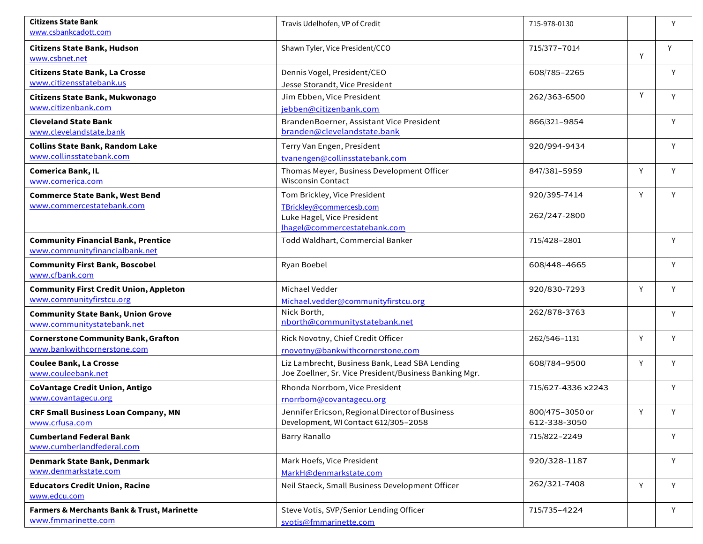| <b>Citizens State Bank</b><br>www.csbankcadott.com                          | Travis Udelhofen, VP of Credit                                                                           | 715-978-0130                    |   | Y |
|-----------------------------------------------------------------------------|----------------------------------------------------------------------------------------------------------|---------------------------------|---|---|
| <b>Citizens State Bank, Hudson</b><br>www.csbnet.net                        | Shawn Tyler, Vice President/CCO                                                                          | 715/377-7014                    | Y | Y |
| Citizens State Bank, La Crosse<br>www.citizensstatebank.us                  | Dennis Vogel, President/CEO<br>Jesse Storandt, Vice President                                            | 608/785-2265                    |   | Y |
| Citizens State Bank, Mukwonago<br>www.citizenbank.com                       | Jim Ebben, Vice President<br>jebben@citizenbank.com                                                      | 262/363-6500                    | Y | Y |
| <b>Cleveland State Bank</b><br>www.clevelandstate.bank                      | BrandenBoerner, Assistant Vice President<br>branden@clevelandstate.bank                                  | 866/321-9854                    |   | Y |
| <b>Collins State Bank, Random Lake</b><br>www.collinsstatebank.com          | Terry Van Engen, President<br>tvanengen@collinsstatebank.com                                             | 920/994-9434                    |   | Y |
| Comerica Bank, IL<br>www.comerica.com                                       | Thomas Meyer, Business Development Officer<br>Wisconsin Contact                                          | 847/381-5959                    | Y | Y |
| <b>Commerce State Bank, West Bend</b>                                       | Tom Brickley, Vice President                                                                             | 920/395-7414                    | Y | Y |
| www.commercestatebank.com                                                   | TBrickley@commercesb.com<br>Luke Hagel, Vice President<br>Ihagel@commercestatebank.com                   | 262/247-2800                    |   |   |
| <b>Community Financial Bank, Prentice</b><br>www.communityfinancialbank.net | Todd Waldhart, Commercial Banker                                                                         | 715/428-2801                    |   | Y |
| <b>Community First Bank, Boscobel</b><br>www.cfbank.com                     | Ryan Boebel                                                                                              | 608/448-4665                    |   | Y |
| <b>Community First Credit Union, Appleton</b><br>www.communityfirstcu.org   | Michael Vedder<br>Michael.vedder@communityfirstcu.org                                                    | 920/830-7293                    | Y | Y |
| <b>Community State Bank, Union Grove</b><br>www.communitystatebank.net      | Nick Borth,<br>nborth@communitystatebank.net                                                             | 262/878-3763                    |   | Y |
| <b>Cornerstone Community Bank, Grafton</b><br>www.bankwithcornerstone.com   | Rick Novotny, Chief Credit Officer<br>rnovotny@bankwithcornerstone.com                                   | 262/546-1131                    | Y | Y |
| <b>Coulee Bank, La Crosse</b><br>www.couleebank.net                         | Liz Lambrecht, Business Bank, Lead SBA Lending<br>Joe Zoellner, Sr. Vice President/Business Banking Mgr. | 608/784-9500                    | Y | Y |
| <b>CoVantage Credit Union, Antigo</b><br>www.covantagecu.org                | Rhonda Norrbom, Vice President<br>rnorrbom@covantagecu.org                                               | 715/627-4336 x2243              |   | Y |
| <b>CRF Small Business Loan Company, MN</b><br>www.crfusa.com                | Jennifer Ericson, Regional Director of Business<br>Development, WI Contact 612/305-2058                  | 800/475-3050 or<br>612-338-3050 | Y | Y |
| <b>Cumberland Federal Bank</b><br>www.cumberlandfederal.com                 | Barry Ranallo                                                                                            | 715/822-2249                    |   | Y |
| <b>Denmark State Bank, Denmark</b><br>www.denmarkstate.com                  | Mark Hoefs, Vice President                                                                               | 920/328-1187                    |   | Y |
| <b>Educators Credit Union, Racine</b><br>www.edcu.com                       | MarkH@denmarkstate.com<br>Neil Staeck, Small Business Development Officer                                | 262/321-7408                    | Y | Y |
| Farmers & Merchants Bank & Trust, Marinette<br>www.fmmarinette.com          | Steve Votis, SVP/Senior Lending Officer<br>svotis@fmmarinette.com                                        | 715/735-4224                    |   | Y |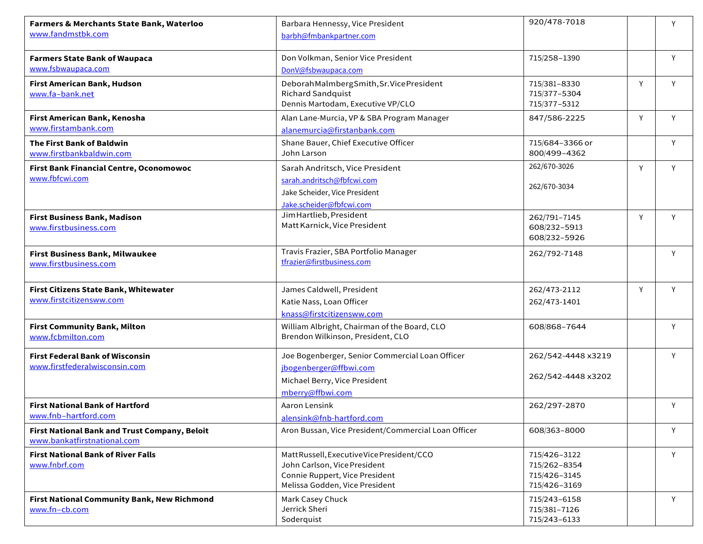| Farmers & Merchants State Bank, Waterloo<br>www.fandmstbk.com                | Barbara Hennessy, Vice President<br>barbh@fmbankpartner.com                                                                                    | 920/478-7018                                                 |   | Y |
|------------------------------------------------------------------------------|------------------------------------------------------------------------------------------------------------------------------------------------|--------------------------------------------------------------|---|---|
| <b>Farmers State Bank of Waupaca</b><br>www.fsbwaupaca.com                   | Don Volkman, Senior Vice President<br>DonV@fsbwaupaca.com                                                                                      | 715/258-1390                                                 |   | Y |
| First American Bank, Hudson<br>www.fa-bank.net                               | DeborahMalmbergSmith,Sr.VicePresident<br><b>Richard Sandquist</b><br>Dennis Martodam, Executive VP/CLO                                         | 715/381-8330<br>715/377-5304<br>715/377-5312                 | Y | Y |
| First American Bank, Kenosha<br>www.firstambank.com                          | Alan Lane-Murcia, VP & SBA Program Manager<br>alanemurcia@firstanbank.com                                                                      | 847/586-2225                                                 | Y | Y |
| The First Bank of Baldwin<br>www.firstbankbaldwin.com                        | Shane Bauer, Chief Executive Officer<br>John Larson                                                                                            | 715/684-3366 or<br>800/499-4362                              |   | Y |
| <b>First Bank Financial Centre, Oconomowoc</b><br>www.fbfcwi.com             | Sarah Andritsch, Vice President<br>sarah.andritsch@fbfcwi.com<br>Jake Scheider, Vice President<br>Jake.scheider@fbfcwi.com                     | 262/670-3026<br>262/670-3034                                 | Y | Y |
| <b>First Business Bank, Madison</b><br>www.firstbusiness.com                 | Jim Hartlieb, President<br>Matt Karnick, Vice President                                                                                        | 262/791-7145<br>608/232-5913<br>608/232-5926                 | Y | Y |
| <b>First Business Bank, Milwaukee</b><br>www.firstbusiness.com               | Travis Frazier, SBA Portfolio Manager<br>tfrazier@firstbusiness.com                                                                            | 262/792-7148                                                 |   | Y |
| First Citizens State Bank, Whitewater<br>www.firstcitizensww.com             | James Caldwell, President<br>Katie Nass, Loan Officer<br>knass@firstcitizensww.com                                                             | 262/473-2112<br>262/473-1401                                 | Y | Υ |
| <b>First Community Bank, Milton</b><br>www.fcbmilton.com                     | William Albright, Chairman of the Board, CLO<br>Brendon Wilkinson, President, CLO                                                              | 608/868-7644                                                 |   | Υ |
| <b>First Federal Bank of Wisconsin</b><br>www.firstfederalwisconsin.com      | Joe Bogenberger, Senior Commercial Loan Officer<br>jbogenberger@ffbwi.com<br>Michael Berry, Vice President<br>mberry@ffbwi.com                 | 262/542-4448 x3219<br>262/542-4448 x3202                     |   | Y |
| <b>First National Bank of Hartford</b><br>www.fnb-hartford.com               | Aaron Lensink<br>alensink@fnb-hartford.com                                                                                                     | 262/297-2870                                                 |   | Y |
| First National Bank and Trust Company, Beloit<br>www.bankatfirstnational.com | Aron Bussan, Vice President/Commercial Loan Officer                                                                                            | 608/363-8000                                                 |   | Y |
| <b>First National Bank of River Falls</b><br>www.fnbrf.com                   | Matt Russell, Executive Vice President/CCO<br>John Carlson, Vice President<br>Connie Ruppert, Vice President<br>Melissa Godden, Vice President | 715/426-3122<br>715/262-8354<br>715/426-3145<br>715/426-3169 |   | Y |
| First National Community Bank, New Richmond<br>www.fn-cb.com                 | Mark Casey Chuck<br>Jerrick Sheri<br>Soderquist                                                                                                | 715/243-6158<br>715/381-7126<br>715/243-6133                 |   | Y |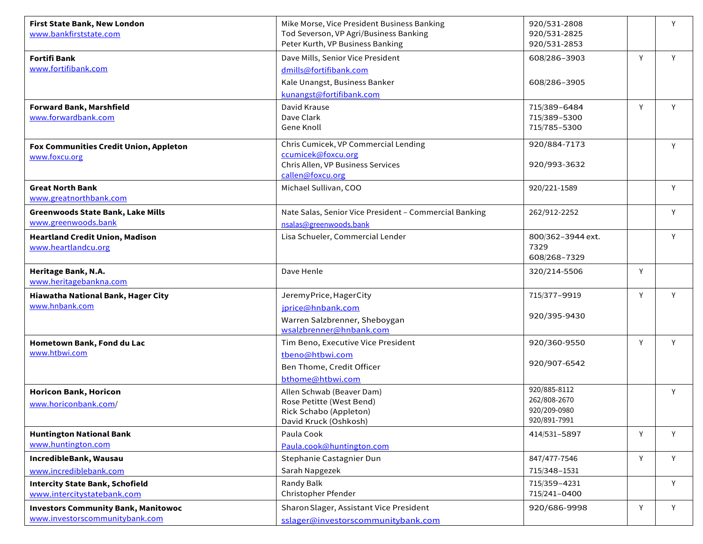| First State Bank, New London<br>www.bankfirststate.com                       | Mike Morse, Vice President Business Banking<br>Tod Severson, VP Agri/Business Banking                               | 920/531-2808<br>920/531-2825                                 |   | Y |
|------------------------------------------------------------------------------|---------------------------------------------------------------------------------------------------------------------|--------------------------------------------------------------|---|---|
| <b>Fortifi Bank</b>                                                          | Peter Kurth, VP Business Banking<br>Dave Mills, Senior Vice President                                               | 920/531-2853<br>608/286-3903                                 | Y | Y |
| www.fortifibank.com                                                          | dmills@fortifibank.com<br>Kale Unangst, Business Banker<br>kunangst@fortifibank.com                                 | 608/286-3905                                                 |   |   |
| <b>Forward Bank, Marshfield</b><br>www.forwardbank.com                       | David Krause<br>Dave Clark<br>Gene Knoll                                                                            | 715/389-6484<br>715/389-5300<br>715/785-5300                 | Y | Υ |
| Fox Communities Credit Union, Appleton<br>www.foxcu.org                      | Chris Cumicek, VP Commercial Lending<br>ccumicek@foxcu.org<br>Chris Allen, VP Business Services<br>callen@foxcu.org | 920/884-7173<br>920/993-3632                                 |   | Y |
| <b>Great North Bank</b><br>www.greatnorthbank.com                            | Michael Sullivan, COO                                                                                               | 920/221-1589                                                 |   | Υ |
| <b>Greenwoods State Bank, Lake Mills</b><br>www.greenwoods.bank              | Nate Salas, Senior Vice President - Commercial Banking<br>nsalas@greenwoods.bank                                    | 262/912-2252                                                 |   | Y |
| <b>Heartland Credit Union, Madison</b><br>www.heartlandcu.org                | Lisa Schueler, Commercial Lender                                                                                    | 800/362-3944 ext.<br>7329<br>608/268-7329                    |   | Y |
| Heritage Bank, N.A.<br>www.heritagebankna.com                                | Dave Henle                                                                                                          | 320/214-5506                                                 | Y |   |
| Hiawatha National Bank, Hager City<br>www.hnbank.com                         | Jeremy Price, HagerCity<br>jprice@hnbank.com<br>Warren Salzbrenner, Sheboygan<br>wsalzbrenner@hnbank.com            | 715/377-9919<br>920/395-9430                                 | Y | Υ |
| Hometown Bank, Fond du Lac<br>www.htbwi.com                                  | Tim Beno, Executive Vice President<br>tbeno@htbwi.com<br>Ben Thome, Credit Officer<br>bthome@htbwi.com              | 920/360-9550<br>920/907-6542                                 | Y | Y |
| <b>Horicon Bank, Horicon</b><br>www.horiconbank.com/                         | Allen Schwab (Beaver Dam)<br>Rose Petitte (West Bend)<br>Rick Schabo (Appleton)<br>David Kruck (Oshkosh)            | 920/885-8112<br>262/808-2670<br>920/209-0980<br>920/891-7991 |   | Y |
| <b>Huntington National Bank</b><br>www.huntington.com                        | Paula Cook<br>Paula.cook@huntington.com                                                                             | 414/531-5897                                                 | Y | Y |
| IncredibleBank, Wausau<br>www.incrediblebank.com                             | Stephanie Castagnier Dun                                                                                            | 847/477-7546<br>715/348-1531                                 | Y | Y |
| <b>Intercity State Bank, Schofield</b><br>www.intercitystatebank.com         | Sarah Napgezek<br>Randy Balk<br>Christopher Pfender                                                                 | 715/359-4231<br>715/241-0400                                 |   | Y |
| <b>Investors Community Bank, Manitowoc</b><br>www.investorscommunitybank.com | Sharon Slager, Assistant Vice President<br>sslager@investorscommunitybank.com                                       | 920/686-9998                                                 | Y | Y |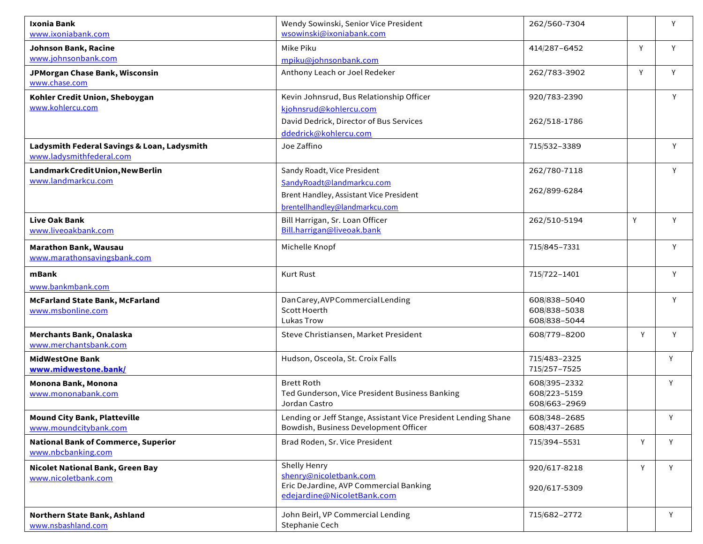| Ixonia Bank<br>www.ixoniabank.com           | Wendy Sowinski, Senior Vice President<br>wsowinski@ixoniabank.com | 262/560-7304 |   | Y |
|---------------------------------------------|-------------------------------------------------------------------|--------------|---|---|
| Johnson Bank, Racine                        | Mike Piku                                                         | 414/287-6452 | Y | Y |
| www.johnsonbank.com                         |                                                                   |              |   |   |
|                                             | mpiku@johnsonbank.com                                             |              |   |   |
| JPMorgan Chase Bank, Wisconsin              | Anthony Leach or Joel Redeker                                     | 262/783-3902 | Υ | Y |
| www.chase.com                               |                                                                   |              |   |   |
| Kohler Credit Union, Sheboygan              | Kevin Johnsrud, Bus Relationship Officer                          | 920/783-2390 |   | Y |
| www.kohlercu.com                            | kjohnsrud@kohlercu.com                                            |              |   |   |
|                                             | David Dedrick, Director of Bus Services                           | 262/518-1786 |   |   |
|                                             |                                                                   |              |   |   |
|                                             | ddedrick@kohlercu.com                                             |              |   |   |
| Ladysmith Federal Savings & Loan, Ladysmith | Joe Zaffino                                                       | 715/532-3389 |   | Y |
| www.ladysmithfederal.com                    |                                                                   |              |   |   |
| Landmark Credit Union, New Berlin           | Sandy Roadt, Vice President                                       | 262/780-7118 |   | Y |
| www.landmarkcu.com                          | SandyRoadt@landmarkcu.com                                         |              |   |   |
|                                             | Brent Handley, Assistant Vice President                           | 262/899-6284 |   |   |
|                                             |                                                                   |              |   |   |
|                                             | brentellhandley@landmarkcu.com                                    |              |   |   |
| <b>Live Oak Bank</b>                        | Bill Harrigan, Sr. Loan Officer                                   | 262/510-5194 | Y | Y |
| www.liveoakbank.com                         | Bill.harrigan@liveoak.bank                                        |              |   |   |
| <b>Marathon Bank, Wausau</b>                | Michelle Knopf                                                    | 715/845-7331 |   | Y |
| www.marathonsavingsbank.com                 |                                                                   |              |   |   |
|                                             |                                                                   |              |   |   |
| mBank                                       | <b>Kurt Rust</b>                                                  | 715/722-1401 |   | Y |
| www.bankmbank.com                           |                                                                   |              |   |   |
| <b>McFarland State Bank, McFarland</b>      | Dan Carey, AVP Commercial Lending                                 | 608/838-5040 |   | Y |
| www.msbonline.com                           | Scott Hoerth                                                      | 608/838-5038 |   |   |
|                                             | <b>Lukas Trow</b>                                                 | 608/838-5044 |   |   |
|                                             |                                                                   |              | Y | Y |
| Merchants Bank, Onalaska                    | Steve Christiansen, Market President                              | 608/779-8200 |   |   |
| www.merchantsbank.com                       |                                                                   |              |   |   |
| <b>MidWestOne Bank</b>                      | Hudson, Osceola, St. Croix Falls                                  | 715/483-2325 |   | Y |
| www.midwestone.bank/                        |                                                                   | 715/257-7525 |   |   |
| Monona Bank, Monona                         | <b>Brett Roth</b>                                                 | 608/395-2332 |   | Y |
| www.mononabank.com                          | Ted Gunderson, Vice President Business Banking                    | 608/223-5159 |   |   |
|                                             | Jordan Castro                                                     | 608/663-2969 |   |   |
| <b>Mound City Bank, Platteville</b>         | Lending or Jeff Stange, Assistant Vice President Lending Shane    | 608/348-2685 |   | Y |
| www.moundcitybank.com                       | Bowdish, Business Development Officer                             | 608/437-2685 |   |   |
|                                             |                                                                   |              |   |   |
| <b>National Bank of Commerce, Superior</b>  | Brad Roden, Sr. Vice President                                    | 715/394-5531 | Y | Y |
| www.nbcbanking.com                          |                                                                   |              |   |   |
| Nicolet National Bank, Green Bay            | Shelly Henry                                                      | 920/617-8218 | Y | Y |
| www.nicoletbank.com                         | shenry@nicoletbank.com                                            |              |   |   |
|                                             | Eric DeJardine, AVP Commercial Banking                            | 920/617-5309 |   |   |
|                                             | edejardine@NicoletBank.com                                        |              |   |   |
|                                             |                                                                   |              |   |   |
| Northern State Bank, Ashland                | John Beirl, VP Commercial Lending                                 | 715/682-2772 |   | Υ |
| www.nsbashland.com                          | Stephanie Cech                                                    |              |   |   |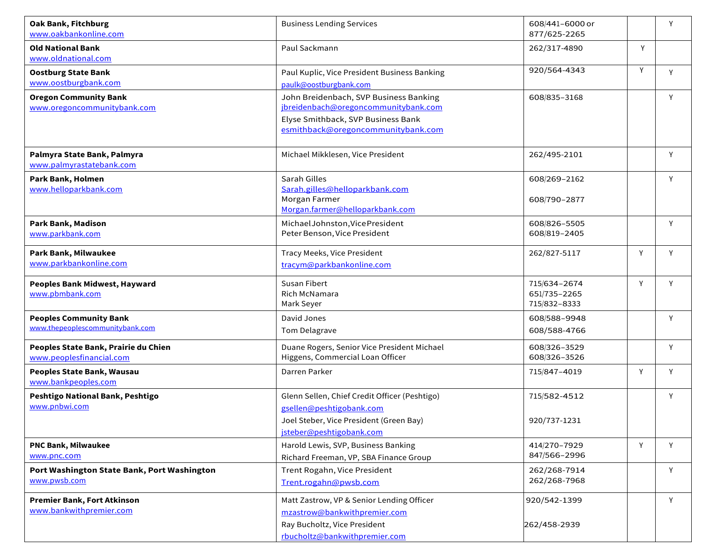| <b>Oak Bank, Fitchburg</b><br>www.oakbankonline.com              | <b>Business Lending Services</b>                                                                                                                           | 608/441-6000 or<br>877/625-2265              |   | Y |
|------------------------------------------------------------------|------------------------------------------------------------------------------------------------------------------------------------------------------------|----------------------------------------------|---|---|
| <b>Old National Bank</b><br>www.oldnational.com                  | Paul Sackmann                                                                                                                                              | 262/317-4890                                 | Y |   |
| <b>Oostburg State Bank</b><br>www.oostburgbank.com               | Paul Kuplic, Vice President Business Banking<br>paulk@oostburgbank.com                                                                                     | 920/564-4343                                 | Y | Y |
| <b>Oregon Community Bank</b><br>www.oregoncommunitybank.com      | John Breidenbach, SVP Business Banking<br>jbreidenbach@oregoncommunitybank.com<br>Elyse Smithback, SVP Business Bank<br>esmithback@oregoncommunitybank.com | 608/835-3168                                 |   | Y |
| Palmyra State Bank, Palmyra<br>www.palmyrastatebank.com          | Michael Mikklesen, Vice President                                                                                                                          | 262/495-2101                                 |   | Y |
| Park Bank, Holmen<br>www.helloparkbank.com                       | Sarah Gilles<br>Sarah.gilles@helloparkbank.com<br>Morgan Farmer<br>Morgan.farmer@helloparkbank.com                                                         | 608/269-2162<br>608/790-2877                 |   | Y |
| Park Bank, Madison<br>www.parkbank.com                           | Michael Johnston, Vice President<br>Peter Benson, Vice President                                                                                           | 608/826-5505<br>608/819-2405                 |   | Y |
| Park Bank, Milwaukee<br>www.parkbankonline.com                   | Tracy Meeks, Vice President<br>tracym@parkbankonline.com                                                                                                   | 262/827-5117                                 | Y | Y |
| Peoples Bank Midwest, Hayward<br>www.pbmbank.com                 | Susan Fibert<br>Rich McNamara<br>Mark Seyer                                                                                                                | 715/634-2674<br>651/735-2265<br>715/832-8333 | Y | Y |
| <b>Peoples Community Bank</b><br>www.thepeoplescommunitybank.com | David Jones<br>Tom Delagrave                                                                                                                               | 608/588-9948<br>608/588-4766                 |   | Y |
| Peoples State Bank, Prairie du Chien<br>www.peoplesfinancial.com | Duane Rogers, Senior Vice President Michael<br>Higgens, Commercial Loan Officer                                                                            | 608/326-3529<br>608/326-3526                 |   | Y |
| Peoples State Bank, Wausau<br>www.bankpeoples.com                | Darren Parker                                                                                                                                              | 715/847-4019                                 | Y | Y |
| Peshtigo National Bank, Peshtigo<br>www.pnbwi.com                | Glenn Sellen, Chief Credit Officer (Peshtigo)<br>gsellen@peshtigobank.com<br>Joel Steber, Vice President (Green Bay)<br>jsteber@peshtigobank.com           | 715/582-4512<br>920/737-1231                 |   | Y |
| <b>PNC Bank, Milwaukee</b><br>www.pnc.com                        | Harold Lewis, SVP, Business Banking<br>Richard Freeman, VP, SBA Finance Group                                                                              | 414/270-7929<br>847/566-2996                 | Y | Υ |
| Port Washington State Bank, Port Washington<br>www.pwsb.com      | Trent Rogahn, Vice President<br>Trent.rogahn@pwsb.com                                                                                                      | 262/268-7914<br>262/268-7968                 |   | Y |
| <b>Premier Bank, Fort Atkinson</b><br>www.bankwithpremier.com    | Matt Zastrow, VP & Senior Lending Officer<br>mzastrow@bankwithpremier.com<br>Ray Bucholtz, Vice President                                                  | 920/542-1399<br>262/458-2939                 |   | Y |
|                                                                  | rbucholtz@bankwithpremier.com                                                                                                                              |                                              |   |   |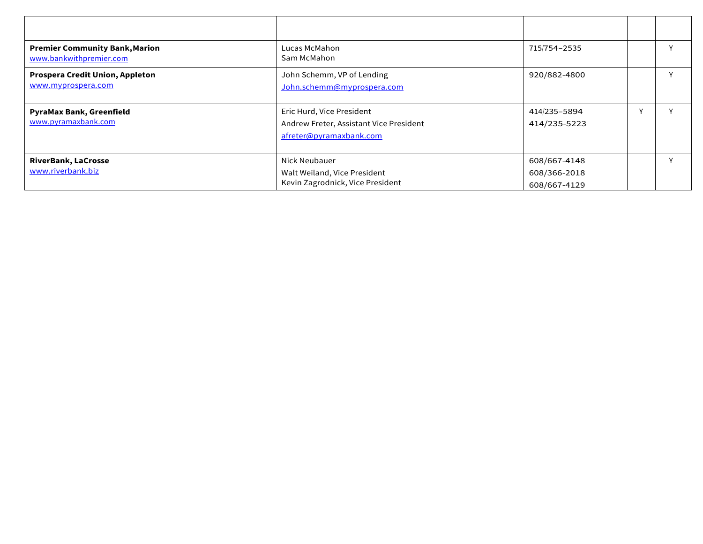| <b>Premier Community Bank, Marion</b><br>www.bankwithpremier.com | Lucas McMahon<br>Sam McMahon                                                                    | 715/754-2535                                 |  |
|------------------------------------------------------------------|-------------------------------------------------------------------------------------------------|----------------------------------------------|--|
| Prospera Credit Union, Appleton<br>www.myprospera.com            | John Schemm, VP of Lending<br>John.schemm@myprospera.com                                        | 920/882-4800                                 |  |
| <b>PyraMax Bank, Greenfield</b><br>www.pyramaxbank.com           | Eric Hurd, Vice President<br>Andrew Freter, Assistant Vice President<br>afreter@pyramaxbank.com | 414/235-5894<br>414/235-5223                 |  |
| <b>RiverBank, LaCrosse</b><br>www.riverbank.biz                  | Nick Neubauer<br>Walt Weiland, Vice President<br>Kevin Zagrodnick, Vice President               | 608/667-4148<br>608/366-2018<br>608/667-4129 |  |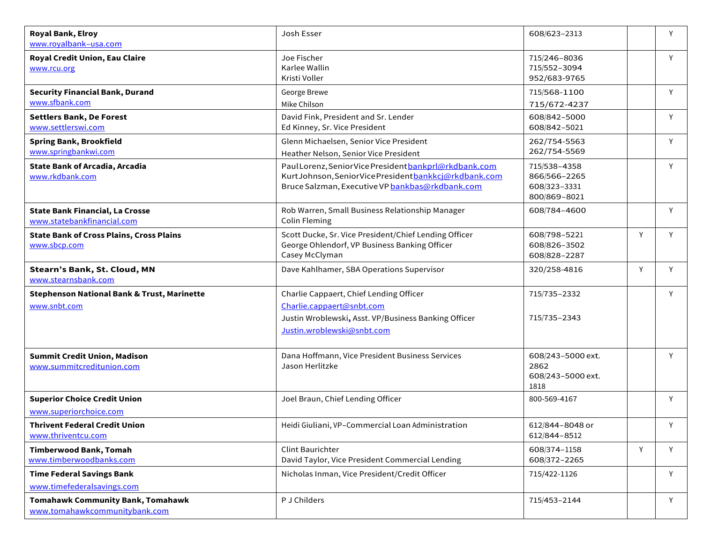| <b>Royal Bank, Elroy</b><br>www.royalbank-usa.com                         | Josh Esser                                                                                                                                                          | 608/623-2313                                                 |   | Y |
|---------------------------------------------------------------------------|---------------------------------------------------------------------------------------------------------------------------------------------------------------------|--------------------------------------------------------------|---|---|
| Royal Credit Union, Eau Claire<br>www.rcu.org                             | Joe Fischer<br>Karlee Wallin<br>Kristi Voller                                                                                                                       | 715/246-8036<br>715/552-3094<br>952/683-9765                 |   | Y |
| <b>Security Financial Bank, Durand</b><br>www.sfbank.com                  | George Brewe<br>Mike Chilson                                                                                                                                        | 715/568-1100<br>715/672-4237                                 |   | Y |
| <b>Settlers Bank, De Forest</b><br>www.settlerswi.com                     | David Fink, President and Sr. Lender<br>Ed Kinney, Sr. Vice President                                                                                               | 608/842-5000<br>608/842-5021                                 |   | Y |
| <b>Spring Bank, Brookfield</b><br>www.springbankwi.com                    | Glenn Michaelsen, Senior Vice President<br>Heather Nelson, Senior Vice President                                                                                    | 262/754-5563<br>262/754-5569                                 |   | Y |
| <b>State Bank of Arcadia, Arcadia</b><br>www.rkdbank.com                  | Paul Lorenz, Senior Vice President bankprl@rkdbank.com<br>KurtJohnson, Senior Vice President bankkcj@rkdbank.com<br>Bruce Salzman, Executive VP bankbas@rkdbank.com | 715/538-4358<br>866/566-2265<br>608/323-3331<br>800/869-8021 |   | Y |
| <b>State Bank Financial, La Crosse</b><br>www.statebankfinancial.com      | Rob Warren, Small Business Relationship Manager<br><b>Colin Fleming</b>                                                                                             | 608/784-4600                                                 |   | Y |
| <b>State Bank of Cross Plains, Cross Plains</b><br>www.sbcp.com           | Scott Ducke, Sr. Vice President/Chief Lending Officer<br>George Ohlendorf, VP Business Banking Officer<br>Casey McClyman                                            | 608/798-5221<br>608/826-3502<br>608/828-2287                 | Y | Y |
| Stearn's Bank, St. Cloud, MN<br>www.stearnsbank.com                       | Dave Kahlhamer, SBA Operations Supervisor                                                                                                                           | 320/258-4816                                                 | Y | Y |
| <b>Stephenson National Bank &amp; Trust, Marinette</b><br>www.snbt.com    | Charlie Cappaert, Chief Lending Officer<br>Charlie.cappaert@snbt.com<br>Justin Wroblewski, Asst. VP/Business Banking Officer<br>Justin.wroblewski@snbt.com          | 715/735-2332<br>715/735-2343                                 |   | Y |
| <b>Summit Credit Union, Madison</b><br>www.summitcreditunion.com          | Dana Hoffmann, Vice President Business Services<br>Jason Herlitzke                                                                                                  | 608/243-5000 ext.<br>2862<br>608/243-5000 ext.<br>1818       |   | Y |
| <b>Superior Choice Credit Union</b><br>www.superiorchoice.com             | Joel Braun, Chief Lending Officer                                                                                                                                   | 800-569-4167                                                 |   | Y |
| <b>Thrivent Federal Credit Union</b><br>www.thriventcu.com                | Heidi Giuliani, VP-Commercial Loan Administration                                                                                                                   | 612/844-8048 or<br>612/844-8512                              |   |   |
| <b>Timberwood Bank, Tomah</b><br>www.timberwoodbanks.com                  | <b>Clint Baurichter</b><br>David Taylor, Vice President Commercial Lending                                                                                          | 608/374-1158<br>608/372-2265                                 | Y | Y |
| <b>Time Federal Savings Bank</b><br>www.timefederalsavings.com            | Nicholas Inman, Vice President/Credit Officer                                                                                                                       | 715/422-1126                                                 |   | Y |
| <b>Tomahawk Community Bank, Tomahawk</b><br>www.tomahawkcommunitybank.com | P J Childers                                                                                                                                                        | 715/453-2144                                                 |   | Y |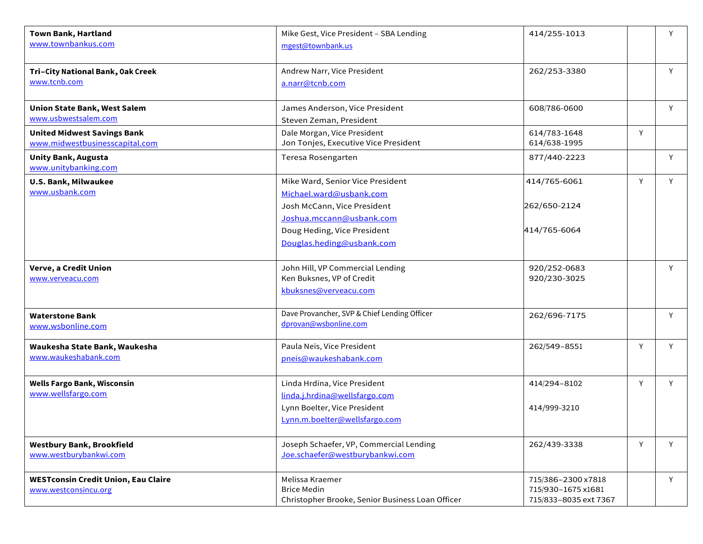| <b>Town Bank, Hartland</b><br>www.townbankus.com                     | Mike Gest, Vice President - SBA Lending<br>mgest@townbank.us                                                                   | 414/255-1013                                                      |   | Y |
|----------------------------------------------------------------------|--------------------------------------------------------------------------------------------------------------------------------|-------------------------------------------------------------------|---|---|
| Tri-City National Bank, Oak Creek<br>www.tcnb.com                    | Andrew Narr, Vice President<br>a.narr@tcnb.com                                                                                 | 262/253-3380                                                      |   | Y |
| <b>Union State Bank, West Salem</b><br>www.usbwestsalem.com          | James Anderson, Vice President<br>Steven Zeman, President                                                                      | 608/786-0600                                                      |   | Y |
| <b>United Midwest Savings Bank</b><br>www.midwestbusinesscapital.com | Dale Morgan, Vice President<br>Jon Tonjes, Executive Vice President                                                            | 614/783-1648<br>614/638-1995                                      | Y |   |
| <b>Unity Bank, Augusta</b><br>www.unitybanking.com                   | Teresa Rosengarten                                                                                                             | 877/440-2223                                                      |   | Y |
| <b>U.S. Bank, Milwaukee</b><br>www.usbank.com                        | Mike Ward, Senior Vice President<br>Michael.ward@usbank.com                                                                    | 414/765-6061                                                      | Y | Y |
|                                                                      | Josh McCann, Vice President<br>Joshua.mccann@usbank.com                                                                        | 262/650-2124                                                      |   |   |
|                                                                      | Doug Heding, Vice President<br>Douglas.heding@usbank.com                                                                       | 414/765-6064                                                      |   |   |
| Verve, a Credit Union<br>www.verveacu.com                            | John Hill, VP Commercial Lending<br>Ken Buksnes, VP of Credit<br>kbuksnes@verveacu.com                                         | 920/252-0683<br>920/230-3025                                      |   | Y |
| <b>Waterstone Bank</b><br>www.wsbonline.com                          | Dave Provancher, SVP & Chief Lending Officer<br>dprovan@wsbonline.com                                                          | 262/696-7175                                                      |   | Y |
| Waukesha State Bank, Waukesha<br>www.waukeshabank.com                | Paula Neis, Vice President<br>pneis@waukeshabank.com                                                                           | 262/549-8551                                                      | Y | Y |
| <b>Wells Fargo Bank, Wisconsin</b><br>www.wellsfargo.com             | Linda Hrdina, Vice President<br>linda.j.hrdina@wellsfargo.com<br>Lynn Boelter, Vice President<br>Lynn.m.boelter@wellsfargo.com | 414/294-8102<br>414/999-3210                                      | Y | Y |
| <b>Westbury Bank, Brookfield</b><br>www.westburybankwi.com           | Joseph Schaefer, VP, Commercial Lending<br>Joe.schaefer@westburybankwi.com                                                     | 262/439-3338                                                      | Y | Y |
| <b>WESTconsin Credit Union, Eau Claire</b><br>www.westconsincu.org   | Melissa Kraemer<br><b>Brice Medin</b><br>Christopher Brooke, Senior Business Loan Officer                                      | 715/386-2300 x7818<br>715/930-1675 x1681<br>715/833-8035 ext 7367 |   | Y |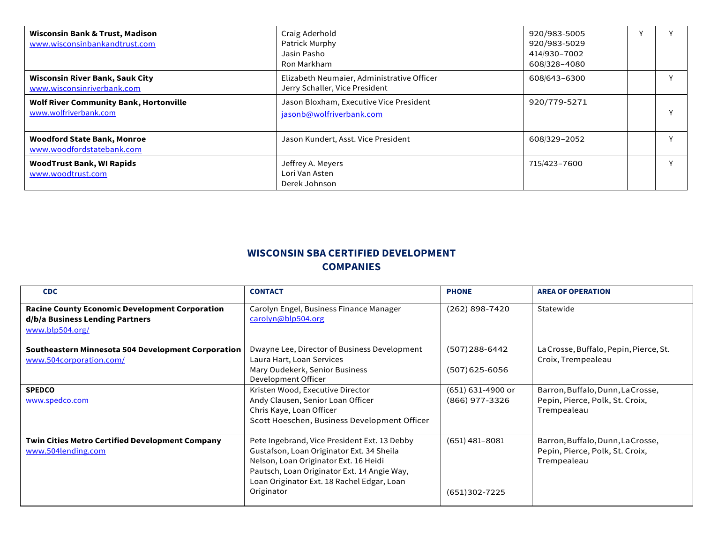| <b>Wisconsin Bank &amp; Trust, Madison</b><br>www.wisconsinbankandtrust.com | Craig Aderhold<br>Patrick Murphy<br>Jasin Pasho<br>Ron Markham               | 920/983-5005<br>920/983-5029<br>414/930-7002<br>608/328-4080 |  |
|-----------------------------------------------------------------------------|------------------------------------------------------------------------------|--------------------------------------------------------------|--|
| <b>Wisconsin River Bank, Sauk City</b><br>www.wisconsinriverbank.com        | Elizabeth Neumaier, Administrative Officer<br>Jerry Schaller, Vice President | 608/643-6300                                                 |  |
| <b>Wolf River Community Bank, Hortonville</b><br>www.wolfriverbank.com      | Jason Bloxham, Executive Vice President<br>jasonb@wolfriverbank.com          | 920/779-5271                                                 |  |
| <b>Woodford State Bank, Monroe</b><br>www.woodfordstatebank.com             | Jason Kundert, Asst. Vice President                                          | 608/329-2052                                                 |  |
| <b>WoodTrust Bank, WI Rapids</b><br>www.woodtrust.com                       | Jeffrey A. Meyers<br>Lori Van Asten<br>Derek Johnson                         | 715/423-7600                                                 |  |

## **WISCONSIN SBA CERTIFIED DEVELOPMENT COMPANIES**

| <b>CDC</b>                                                                                                  | <b>CONTACT</b>                                                                                                                                                                                                                                | <b>PHONE</b>                          | <b>AREA OF OPERATION</b>                                                            |
|-------------------------------------------------------------------------------------------------------------|-----------------------------------------------------------------------------------------------------------------------------------------------------------------------------------------------------------------------------------------------|---------------------------------------|-------------------------------------------------------------------------------------|
| <b>Racine County Economic Development Corporation</b><br>d/b/a Business Lending Partners<br>www.blp504.org/ | Carolyn Engel, Business Finance Manager<br>carolyn@blp504.org                                                                                                                                                                                 | (262) 898-7420                        | Statewide                                                                           |
| Southeastern Minnesota 504 Development Corporation<br>www.504corporation.com/                               | Dwayne Lee, Director of Business Development<br>Laura Hart, Loan Services<br>Mary Oudekerk, Senior Business<br>Development Officer                                                                                                            | $(507)$ 288-6442<br>$(507)$ 625-6056  | La Crosse, Buffalo, Pepin, Pierce, St.<br>Croix, Trempealeau                        |
| <b>SPEDCO</b><br>www.spedco.com                                                                             | Kristen Wood, Executive Director<br>Andy Clausen, Senior Loan Officer<br>Chris Kaye, Loan Officer<br>Scott Hoeschen, Business Development Officer                                                                                             | (651) 631-4900 or<br>(866) 977-3326   | Barron, Buffalo, Dunn, La Crosse,<br>Pepin, Pierce, Polk, St. Croix,<br>Trempealeau |
| Twin Cities Metro Certified Development Company<br>www.504lending.com                                       | Pete Ingebrand, Vice President Ext. 13 Debby<br>Gustafson, Loan Originator Ext. 34 Sheila<br>Nelson, Loan Originator Ext. 16 Heidi<br>Pautsch, Loan Originator Ext. 14 Angie Way,<br>Loan Originator Ext. 18 Rachel Edgar, Loan<br>Originator | $(651)$ 481-8081<br>$(651)302 - 7225$ | Barron, Buffalo, Dunn, La Crosse,<br>Pepin, Pierce, Polk, St. Croix,<br>Trempealeau |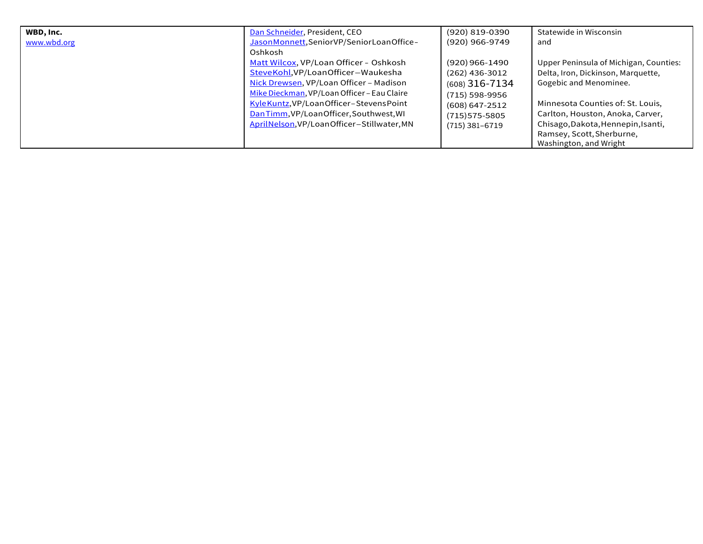| WBD, Inc.<br>Dan Schneider, President, CEO<br>JasonMonnett, SeniorVP/SeniorLoanOffice-<br>www.wbd.org<br>Oshkosh<br>Matt Wilcox, VP/Loan Officer - Oshkosh<br>SteveKohl, VP/Loan Officer-Waukesha<br>Nick Drewsen, VP/Loan Officer - Madison<br>Mike Dieckman, VP/Loan Officer - Eau Claire<br>KyleKuntz, VP/LoanOfficer-StevensPoint<br>Dan Timm, VP/Loan Officer, Southwest, WI<br>AprilNelson, VP/LoanOfficer-Stillwater, MN | (920) 819-0390<br>$(920)$ 966-9749<br>$(920)$ 966-1490<br>$(262)$ 436-3012<br>$(608)$ 316-7134<br>$(715)$ 598-9956<br>$(608) 647 - 2512$<br>$(715)575 - 5805$<br>$(715)$ 381-6719 | Statewide in Wisconsin<br>and<br>Upper Peninsula of Michigan, Counties:<br>Delta, Iron, Dickinson, Marquette,<br>Gogebic and Menominee.<br>Minnesota Counties of: St. Louis,<br>Carlton, Houston, Anoka, Carver,<br>Chisago, Dakota, Hennepin, Isanti,<br>Ramsey, Scott, Sherburne,<br>Washington, and Wright |
|---------------------------------------------------------------------------------------------------------------------------------------------------------------------------------------------------------------------------------------------------------------------------------------------------------------------------------------------------------------------------------------------------------------------------------|-----------------------------------------------------------------------------------------------------------------------------------------------------------------------------------|---------------------------------------------------------------------------------------------------------------------------------------------------------------------------------------------------------------------------------------------------------------------------------------------------------------|
|---------------------------------------------------------------------------------------------------------------------------------------------------------------------------------------------------------------------------------------------------------------------------------------------------------------------------------------------------------------------------------------------------------------------------------|-----------------------------------------------------------------------------------------------------------------------------------------------------------------------------------|---------------------------------------------------------------------------------------------------------------------------------------------------------------------------------------------------------------------------------------------------------------------------------------------------------------|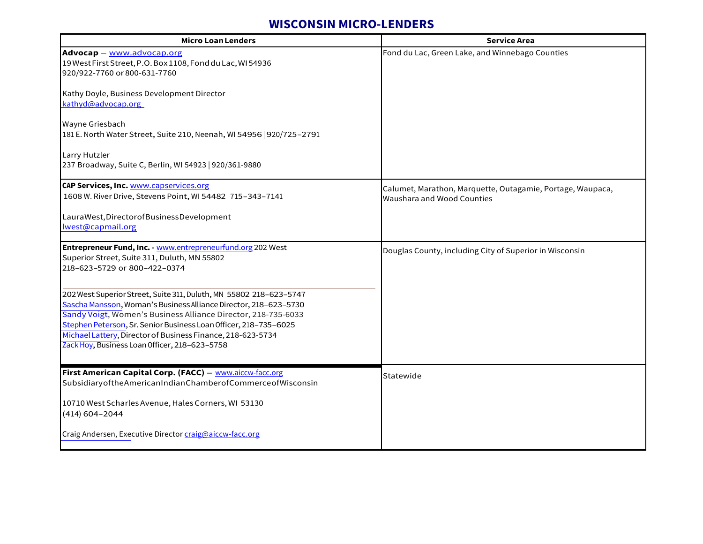## **WISCONSIN MICRO-LENDERS**

| <b>Micro Loan Lenders</b>                                                                                                                                                                                                                                                                                                                                                                   | <b>Service Area</b>                                                                             |
|---------------------------------------------------------------------------------------------------------------------------------------------------------------------------------------------------------------------------------------------------------------------------------------------------------------------------------------------------------------------------------------------|-------------------------------------------------------------------------------------------------|
| Advocap - www.advocap.org<br>19 West First Street, P.O. Box 1108, Fond du Lac, WI 54936<br>920/922-7760 or 800-631-7760                                                                                                                                                                                                                                                                     | Fond du Lac, Green Lake, and Winnebago Counties                                                 |
| Kathy Doyle, Business Development Director<br>kathyd@advocap.org                                                                                                                                                                                                                                                                                                                            |                                                                                                 |
| Wayne Griesbach<br>181 E. North Water Street, Suite 210, Neenah, WI 54956 920/725-2791                                                                                                                                                                                                                                                                                                      |                                                                                                 |
| Larry Hutzler<br>237 Broadway, Suite C, Berlin, WI 54923   920/361-9880                                                                                                                                                                                                                                                                                                                     |                                                                                                 |
| CAP Services, Inc. www.capservices.org<br>1608 W. River Drive, Stevens Point, WI 54482   715-343-7141                                                                                                                                                                                                                                                                                       | Calumet, Marathon, Marquette, Outagamie, Portage, Waupaca,<br><b>Waushara and Wood Counties</b> |
| LauraWest, Director of Business Development<br>lwest@capmail.org                                                                                                                                                                                                                                                                                                                            |                                                                                                 |
| Entrepreneur Fund, Inc. - www.entrepreneurfund.org 202 West<br>Superior Street, Suite 311, Duluth, MN 55802<br>218-623-5729 or 800-422-0374                                                                                                                                                                                                                                                 | Douglas County, including City of Superior in Wisconsin                                         |
| 202 West Superior Street, Suite 311, Duluth, MN 55802 218-623-5747<br>Sascha Mansson, Woman's Business Alliance Director, 218-623-5730<br>Sandy Voigt, Women's Business Alliance Director, 218-735-6033<br>Stephen Peterson, Sr. Senior Business Loan Officer, 218-735-6025<br>Michael Lattery, Director of Business Finance, 218-623-5734<br>Zack Hoy, Business Loan Officer, 218-623-5758 |                                                                                                 |
| First American Capital Corp. (FACC) - www.aiccw-facc.org<br>Subsidiary of the American Indian Chamber of Commerce of Wisconsin                                                                                                                                                                                                                                                              | Statewide                                                                                       |
| 10710 West Scharles Avenue, Hales Corners, WI 53130<br>$(414) 604 - 2044$                                                                                                                                                                                                                                                                                                                   |                                                                                                 |
| Craig Andersen, Executive Director craig@aiccw-facc.org                                                                                                                                                                                                                                                                                                                                     |                                                                                                 |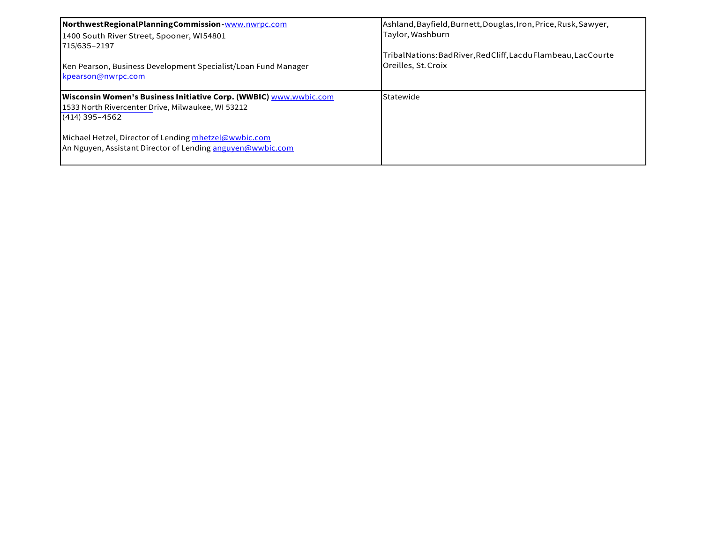| NorthwestRegionalPlanningCommission-www.nwrpc.com<br>1400 South River Street, Spooner, W154801<br>715/635-2197                             | Ashland, Bayfield, Burnett, Douglas, Iron, Price, Rusk, Sawyer,<br>Taylor, Washburn<br> TribalNations:BadRiver,RedCliff,LacduFlambeau,LacCourte |
|--------------------------------------------------------------------------------------------------------------------------------------------|-------------------------------------------------------------------------------------------------------------------------------------------------|
| Ken Pearson, Business Development Specialist/Loan Fund Manager<br>kpearson@nwrpc.com                                                       | ∥Oreilles, St. Croix                                                                                                                            |
| Wisconsin Women's Business Initiative Corp. (WWBIC) www.wwbic.com<br>1533 North Rivercenter Drive, Milwaukee, WI 53212<br>$(414)$ 395-4562 | Statewide                                                                                                                                       |
| Michael Hetzel, Director of Lending mhetzel@wwbic.com<br>An Nguyen, Assistant Director of Lending anguyen@wwbic.com                        |                                                                                                                                                 |